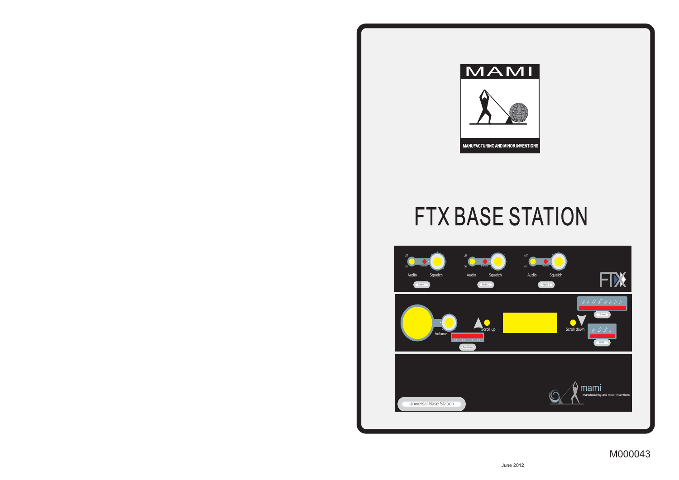

## FTX BASE STATION

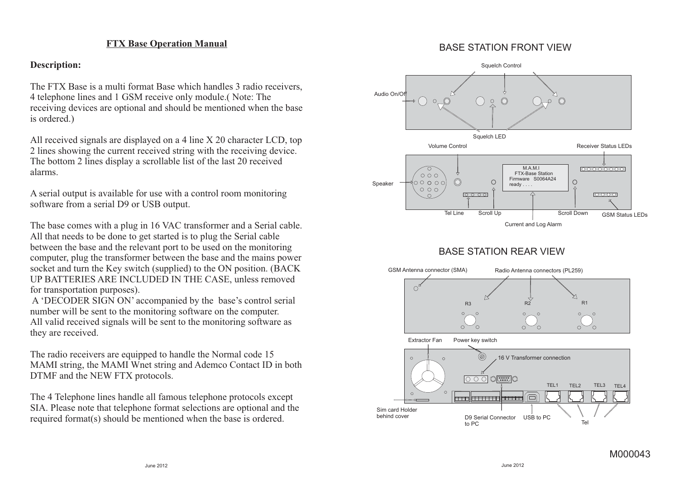#### **FTX Base Operation Manual**

#### **Description:**

The FTX Base is a multi format Base which handles 3 radio receivers, 4 telephone lines and 1 GSM receive only module.( Note: The receiving devices are optional and should be mentioned when the base is ordered.)

All received signals are displayed on a 4 line X 20 character LCD, top 2 lines showing the current received string with the receiving device. The bottom 2 lines display a scrollable list of the last 20 received alarms.

A serial output is available for use with a control room monitoring software from a serial D9 or USB output.

The base comes with a plug in 16 VAC transformer and a Serial cable. All that needs to be done to get started is to plug the Serial cable between the base and the relevant port to be used on the monitoring computer, plug the transformer between the base and the mains power socket and turn the Key switch (supplied) to the ON position. (BACK UP BATTERIES ARE INCLUDED IN THE CASE, unless removed for transportation purposes).

A 'DECODER SIGN ON' accompanied by the base's control serial number will be sent to the monitoring software on the computer. All valid received signals will be sent to the monitoring software as they are received.

The radio receivers are equipped to handle the Normal code 15 MAMI string, the MAMI Wnet string and Ademco Contact ID in both DTMF and the NEW FTX protocols.

The 4 Telephone lines handle all famous telephone protocols except SIA. Please note that telephone format selections are optional and the required format(s) should be mentioned when the base is ordered.

#### BASE STATION FRONT VIEW

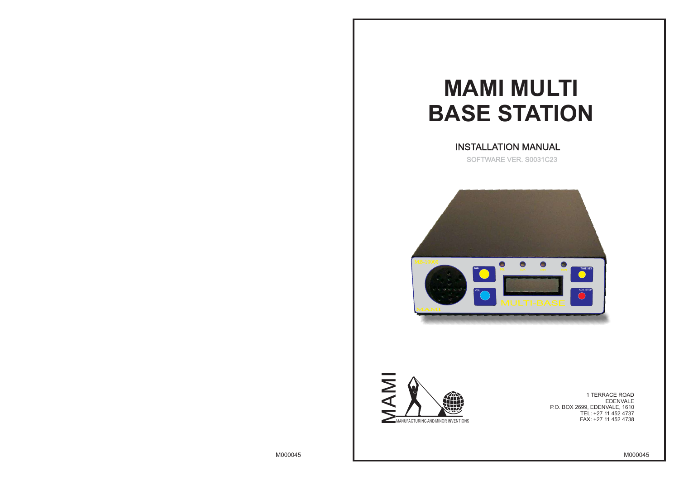

1 TERRACE ROAD EDENVALE P.O. BOX 2699, EDENVALE, 1610 TEL: +27 11 452 4737 FAX: +27 11 452 4738

# **MAMI MULTI BASE STATION**

INSTALLATION MANUAL SOFTWARE VER. S0031C23



M000045 M000045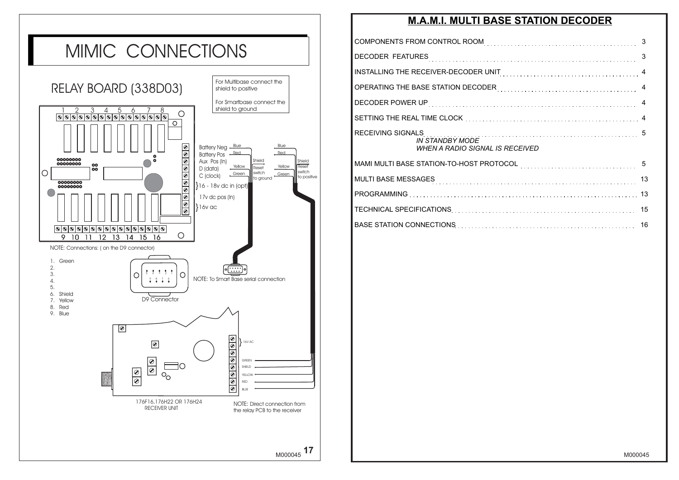### **M.A.M.I. MULTI BASE STATION DECODER**

| INSTALLING THE RECEIVER-DECODER UNIT MALL CONTRIGUING THE RECEIVER A                                                                                                                                                                                                                                                               |  |
|------------------------------------------------------------------------------------------------------------------------------------------------------------------------------------------------------------------------------------------------------------------------------------------------------------------------------------|--|
| OPERATING THE BASE STATION DECODER <b>CONSERVING THE STATE ASSESS</b>                                                                                                                                                                                                                                                              |  |
|                                                                                                                                                                                                                                                                                                                                    |  |
|                                                                                                                                                                                                                                                                                                                                    |  |
| IN STANDBY MODE<br><b>WHEN A RADIO SIGNAL IS RECEIVED</b>                                                                                                                                                                                                                                                                          |  |
| MAMI MULTI BASE STATION-TO-HOST PROTOCOL USING INTERNATIONAL STATE STATION AND STATE STATION.                                                                                                                                                                                                                                      |  |
|                                                                                                                                                                                                                                                                                                                                    |  |
|                                                                                                                                                                                                                                                                                                                                    |  |
|                                                                                                                                                                                                                                                                                                                                    |  |
| $\overline{D}$ and $\overline{D}$ and $\overline{D}$ and $\overline{D}$ and $\overline{D}$ and $\overline{D}$ and $\overline{D}$ and $\overline{D}$ and $\overline{D}$ and $\overline{D}$ and $\overline{D}$ and $\overline{D}$ and $\overline{D}$ and $\overline{D}$ and $\overline{D}$ and $\overline{D}$ and $\overline{D}$ and |  |

BASE STATION CONNECTIONS Network of the state of the state of the state of the state of the state of the state of the state of the state of the state of the state of the state of the state of the state of the state of the

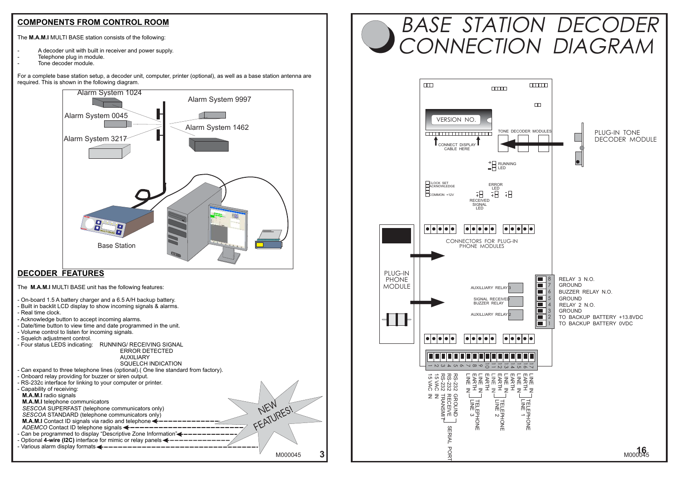### **COMPONENTS FROM CONTROL ROOM**

The **M.A.M.I** MULTI BASE station consists of the following:

- A decoder unit with built in receiver and power supply.
- Telephone plug in module.
- Tone decoder module.

For a complete base station setup, a decoder unit, computer, printer (optional), as well as a base station antenna are required. This is shown in the following diagram.



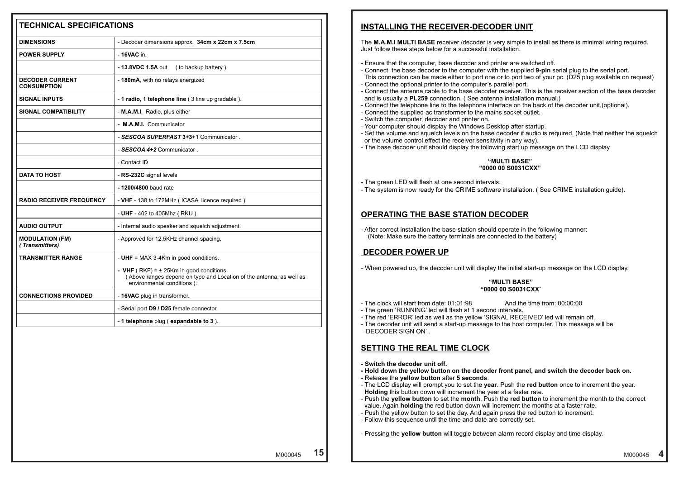### **INSTALLING THE RECEIVER-DECODER UNIT**

- Ensure that the computer, base decoder and printer are switched off.
- Connect the base decoder to the computer with the supplied **9-pin** serial plug to the serial port.
- Connect the optional printer to the computer's parallel port.
- Connect the antenna cable to the base decoder receiver. This is the receiver section of the base decoder and is usually a **PL259** connection. ( See antenna installation manual.)
- 
- Connect the supplied ac transformer to the mains socket outlet.
- Switch the computer, decoder and printer on.
- Your computer should display the Windows Desktop after startup.
- 
- or the volume control effect the receiver sensitivity in any way).
- The base decoder unit should display the following start up message on the LCD display

#### **"MULTI BASE" "0000 00 S0031CXX"**

### **OPERATING THE BASE STATION DECODER**

### **DECODER POWER UP**

#### **"MULTI BASE" "0000 00 S0031CXX**"

- The clock will start from date: 01:01:98 And the time from: 00:00:00
- The green 'RUNNING' led will flash at 1 second intervals.
- The red 'ERROR' led as well as the yellow 'SIGNAL RECEIVED' led will remain off.
- The decoder unit will send a start-up message to the host computer. This message will be 'DECODER SIGN ON' .

### **SETTING THE REAL TIME CLOCK**

- **Switch the decoder unit off.**
- **Hold down the yellow button on the decoder front panel, and switch the decoder back on.**
- Release the **yellow button** after **5 seconds**.
- The LCD display will prompt you to set the **year**. Push the **red button** once to increment the year. **Holding** this button down will increment the year at a faster rate.
- value. Again **holding** the red button down will increment the months at a faster rate.
- Push the yellow button to set the day. And again press the red button to increment.
- Follow this sequence until the time and date are correctly set.

**4**

| <b>TECHNICAL SPECIFICATIONS</b>              |                                                                                                                                                         | <b>INSTALLING THE RECEIVER-DECODER UNIT</b>                                                                                                                                                                                                                                                                                                                                                                                                                                                                                                                                                                                                                                                                                                                                                                      |
|----------------------------------------------|---------------------------------------------------------------------------------------------------------------------------------------------------------|------------------------------------------------------------------------------------------------------------------------------------------------------------------------------------------------------------------------------------------------------------------------------------------------------------------------------------------------------------------------------------------------------------------------------------------------------------------------------------------------------------------------------------------------------------------------------------------------------------------------------------------------------------------------------------------------------------------------------------------------------------------------------------------------------------------|
| <b>DIMENSIONS</b>                            | - Decoder dimensions approx. 34cm x 22cm x 7.5cm                                                                                                        | The M.A.M.I MULTI BASE receiver /decoder is very simple to install as there is minimal wiring required.                                                                                                                                                                                                                                                                                                                                                                                                                                                                                                                                                                                                                                                                                                          |
| <b>POWER SUPPLY</b>                          | - 16VAC in.                                                                                                                                             | Just follow these steps below for a successful installation.                                                                                                                                                                                                                                                                                                                                                                                                                                                                                                                                                                                                                                                                                                                                                     |
|                                              | (to backup battery).<br>- 13.8VDC 1.5A out                                                                                                              | - Ensure that the computer, base decoder and printer are switched off.<br>- Connect the base decoder to the computer with the supplied 9-pin serial plug to the serial port.                                                                                                                                                                                                                                                                                                                                                                                                                                                                                                                                                                                                                                     |
| <b>DECODER CURRENT</b><br><b>CONSUMPTION</b> | - 180mA, with no relays energized                                                                                                                       | This connection can be made either to port one or to port two of your pc. (D25 plug available on reques<br>- Connect the optional printer to the computer's parallel port.<br>- Connect the antenna cable to the base decoder receiver. This is the receiver section of the base decod                                                                                                                                                                                                                                                                                                                                                                                                                                                                                                                           |
| <b>SIGNAL INPUTS</b>                         | - 1 radio, 1 telephone line (3 line up gradable).                                                                                                       | and is usually a <b>PL259</b> connection. (See antenna installation manual.)                                                                                                                                                                                                                                                                                                                                                                                                                                                                                                                                                                                                                                                                                                                                     |
| <b>SIGNAL COMPATIBILITY</b>                  | - M.A.M.I. Radio, plus either                                                                                                                           | - Connect the telephone line to the telephone interface on the back of the decoder unit. (optional).<br>- Connect the supplied ac transformer to the mains socket outlet.                                                                                                                                                                                                                                                                                                                                                                                                                                                                                                                                                                                                                                        |
|                                              | - M.A.M.I. Communicator                                                                                                                                 | - Switch the computer, decoder and printer on.<br>- Your computer should display the Windows Desktop after startup.                                                                                                                                                                                                                                                                                                                                                                                                                                                                                                                                                                                                                                                                                              |
|                                              | SESCOA SUPERFAST 3+3+1 Communicator.                                                                                                                    | - Set the volume and squelch levels on the base decoder if audio is required. (Note that neither the sque<br>or the volume control effect the receiver sensitivity in any way).                                                                                                                                                                                                                                                                                                                                                                                                                                                                                                                                                                                                                                  |
|                                              | SESCOA 4+2 Communicator.                                                                                                                                | - The base decoder unit should display the following start up message on the LCD display                                                                                                                                                                                                                                                                                                                                                                                                                                                                                                                                                                                                                                                                                                                         |
|                                              | Contact ID                                                                                                                                              | "MULTI BASE"                                                                                                                                                                                                                                                                                                                                                                                                                                                                                                                                                                                                                                                                                                                                                                                                     |
| <b>DATA TO HOST</b>                          | RS-232C signal levels                                                                                                                                   | "0000 00 S0031CXX"                                                                                                                                                                                                                                                                                                                                                                                                                                                                                                                                                                                                                                                                                                                                                                                               |
|                                              | - 1200/4800 baud rate                                                                                                                                   | - The green LED will flash at one second intervals.<br>- The system is now ready for the CRIME software installation. (See CRIME installation guide).                                                                                                                                                                                                                                                                                                                                                                                                                                                                                                                                                                                                                                                            |
| <b>RADIO RECEIVER FREQUENCY</b>              | - VHF - 138 to 172MHz (ICASA licence required).                                                                                                         |                                                                                                                                                                                                                                                                                                                                                                                                                                                                                                                                                                                                                                                                                                                                                                                                                  |
|                                              | - UHF - 402 to 405Mhz (RKU).                                                                                                                            | <b>OPERATING THE BASE STATION DECODER</b>                                                                                                                                                                                                                                                                                                                                                                                                                                                                                                                                                                                                                                                                                                                                                                        |
| <b>AUDIO OUTPUT</b>                          | - Internal audio speaker and squelch adjustment.                                                                                                        | - After correct installation the base station should operate in the following manner:                                                                                                                                                                                                                                                                                                                                                                                                                                                                                                                                                                                                                                                                                                                            |
| <b>MODULATION (FM)</b><br>(Transmitters)     | - Approved for 12.5KHz channel spacing.                                                                                                                 | (Note: Make sure the battery terminals are connected to the battery)                                                                                                                                                                                                                                                                                                                                                                                                                                                                                                                                                                                                                                                                                                                                             |
| <b>TRANSMITTER RANGE</b>                     | - UHF = MAX 3-4Km in good conditions.                                                                                                                   | <b>DECODER POWER UP</b>                                                                                                                                                                                                                                                                                                                                                                                                                                                                                                                                                                                                                                                                                                                                                                                          |
|                                              | <b>VHF</b> (RKF) = $\pm$ 25Km in good conditions.<br>(Above ranges depend on type and Location of the antenna, as well as<br>environmental conditions). | - When powered up, the decoder unit will display the initial start-up message on the LCD display.<br>"MULTI BASE"                                                                                                                                                                                                                                                                                                                                                                                                                                                                                                                                                                                                                                                                                                |
| <b>CONNECTIONS PROVIDED</b>                  | - 16VAC plug in transformer.                                                                                                                            | "0000 00 S0031CXX"                                                                                                                                                                                                                                                                                                                                                                                                                                                                                                                                                                                                                                                                                                                                                                                               |
|                                              | - Serial port D9 / D25 female connector.                                                                                                                | - The clock will start from date: 01:01:98<br>And the time from: 00:00:00<br>- The green 'RUNNING' led will flash at 1 second intervals.                                                                                                                                                                                                                                                                                                                                                                                                                                                                                                                                                                                                                                                                         |
|                                              | - 1 telephone plug (expandable to 3).                                                                                                                   | - The red 'ERROR' led as well as the yellow 'SIGNAL RECEIVED' led will remain off.<br>- The decoder unit will send a start-up message to the host computer. This message will be<br>'DECODER SIGN ON'.                                                                                                                                                                                                                                                                                                                                                                                                                                                                                                                                                                                                           |
|                                              |                                                                                                                                                         | <b>SETTING THE REAL TIME CLOCK</b>                                                                                                                                                                                                                                                                                                                                                                                                                                                                                                                                                                                                                                                                                                                                                                               |
|                                              |                                                                                                                                                         | - Switch the decoder unit off.<br>- Hold down the yellow button on the decoder front panel, and switch the decoder back on.<br>- Release the yellow button after 5 seconds.<br>- The LCD display will prompt you to set the year. Push the red button once to increment the year.<br>Holding this button down will increment the year at a faster rate.<br>- Push the yellow button to set the month. Push the red button to increment the month to the correct<br>value. Again holding the red button down will increment the months at a faster rate.<br>- Push the yellow button to set the day. And again press the red button to increment.<br>- Follow this sequence until the time and date are correctly set.<br>- Pressing the yellow button will toggle between alarm record display and time display. |
|                                              | 15<br>M000045                                                                                                                                           | M000045                                                                                                                                                                                                                                                                                                                                                                                                                                                                                                                                                                                                                                                                                                                                                                                                          |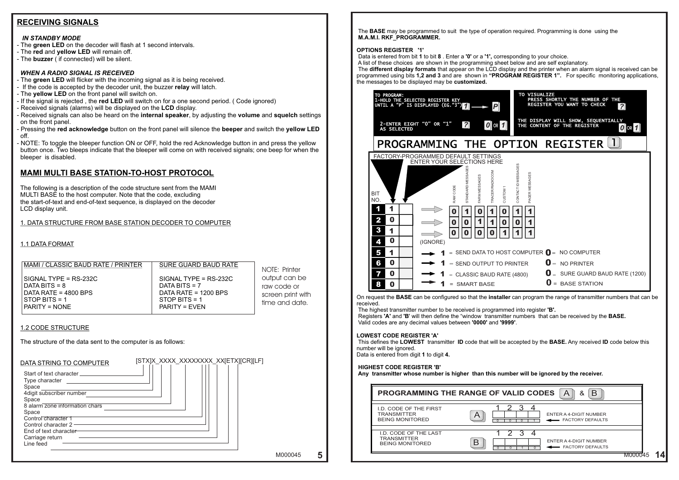### **RECEIVING SIGNALS**

#### *IN STANDBY MODE*

- The **green LED** on the decoder will flash at 1 second intervals.
- The **red** and **yellow LED** will remain off.
- The **buzzer** ( if connected) will be silent.

#### *WHEN A RADIO SIGNAL IS RECEIVED*

- The **green LED** will flicker with the incoming signal as it is being received.
- If the code is accepted by the decoder unit, the buzzer **relay** will latch.
- The **yellow LED** on the front panel will switch on.
- If the signal is rejected , the **red LED** will switch on for a one second period. ( Code ignored)
- Received signals (alarms) will be displayed on the **LCD** display.
- Received signals can also be heard on the **internal speaker**, by adjusting the **volume** and **squelch** settings on the front panel.
- Pressing the **red acknowledge** button on the front panel will silence the **beeper** and switch the **yellow LED**  off.
- NOTE: To toggle the bleeper function ON or OFF, hold the red Acknowledge button in and press the yellow button once. Two bleeps indicate that the bleeper will come on with received signals; one beep for when the bleeper is disabled.

### **MAMI MULTI BASE STATION-TO-HOST PROTOCOL**

The following is a description of the code structure sent from the MAMI MULTI BASE to the host computer. Note that the code, excluding the start-of-text and end-of-text sequence, is displayed on the decoder LCD display unit.

#### 1. DATA STRUCTURE FROM BASE STATION DECODER TO COMPUTER

#### 1.1 DATA FORMAT

#### $\overline{a}$ MAMI / CLASSIC BAUD RATE / PRINTER | SURE GUARD BAUD RATE

SIGNAL TYPE =  $RS-232C$ <br>DATA BITS = 8  $DATA BITS = 8$  DATA RATE = 4800 BPS DATA RATE = 1200 BPS PARITY = NONE PARITY = EVEN

 $STOP$  BITS = 1

[STX]X\_XXXX\_XXXXXXX\_XX[ETX][CR][LF]

#### 1.2 CODE STRUCTURE

The structure of the data sent to the computer is as follows:

#### DATA STRING TO COMPUTER

Start of text character Type character Space 4digit subscriber number Space 8 alarm zone information chars Space Control character 1 Control character 2 End of text character Carriage return Line feed

**VISUALIZE** TO PROGRAM: PRESS SHORTLY THE NUMBER OF THE 1-HOLD THE SELECTED REGISTER KEY REGISTER YOU WANT TO CHECK *P ?* UNTIL A "P" IS DISPLAYED (EG."3") *1* THE DISPLAY WILL SHOW, SEQUENTIALLY 2-ENTER EIGHT "0" OR "1" *? 0* **OR 1** THE CONTENT OF THE REGISTER **0** OR 1 AS SELECTED TION REGISTER  $\Box$ FACTORY-PROGRAMMED DEFAULT SETTINGS ENTER YOUR SELECTIONS HERE CONTACT ID MESSAGES STANDARD MESSAGES TRACER/RADIOCOM PAGER MESSAGES FARM MESSAGES RAW CODE CUSTOM 1 BIT NCC NO. 1 1 1 0 1 0 1 0 1 2 0  $\boldsymbol{0}$ 0 0 1 1  $0 || 0$ 1 3 1 1 1 0  $0 \mid 0$ 0 1 0 4 (IGNORE) SEND DATA TO HOST COMPUTER  $\bigcirc$  = NO COMPUTER 5 1 1 0  $\mathbf{0}$  = NO PRINTER 6 1 RINTER CLASSIC BAUD RATE (4800)  $\bullet$   $\bullet$  SURE GUARD BAUD RATE (1200) 7 0 1  $\mathbf{0}$  = BASE STATION 8 0

NOTE: Printer output can be raw code or screen print with time and date.

The **BASE** may be programmed to suit the type of operation required. Programming is done using the **M.A.M.I. RKF\_PROGRAMMER. OPTIONS REGISTER '1'** Data is entered from bit **1** to bit **8** . Enter a **'0'** or a **'1',** corresponding to your choice. A list of these choices are shown in the programming sheet below and are self explanatory. The **different display formats** that appear on the LCD display and the printer when an alarm signal is received can be programmed using bits **1,2 and 3** and are shown in **"PROGRAM REGISTER 1".** For specific monitoring applications, the messages to be displayed may be **customized.**

|            | TO PROGRAM:                         | 1-HOLD THE SELECTED REGISTER KEY<br>UNTIL A "P" IS DISPLAYED (EG."3" |           |                 |                   |                   |                               |                          |
|------------|-------------------------------------|----------------------------------------------------------------------|-----------|-----------------|-------------------|-------------------|-------------------------------|--------------------------|
|            | 2-ENTER EIGHT<br><b>AS SELECTED</b> | "0"                                                                  | <b>OR</b> | "1"             | $\sim$            |                   | $0$ or $1$                    |                          |
|            |                                     | PROGRAMMING THE                                                      |           |                 |                   |                   |                               |                          |
|            |                                     | FACTORY-PROGRAMMED DEFAULT SETTINGS<br>ENTER YOUR SELECTIONS HERE    |           |                 |                   |                   |                               |                          |
| BIT<br>NO. |                                     |                                                                      |           | <b>RAW CODE</b> | STANDARD MESSAGES | FARM MESSAGES     | <b><i>TRACER/RADIOCOM</i></b> | CUSTOM <sub>1</sub>      |
| 1          |                                     |                                                                      |           | 0               |                   | O                 |                               | N                        |
| 2          | 0                                   |                                                                      |           | O               | Ŋ                 | 1                 | 1                             | Ω                        |
| 3          | 1                                   |                                                                      |           | 0               | O                 | Ō                 | 0                             |                          |
| 4          | 0                                   |                                                                      | (IGNORE)  |                 |                   |                   |                               |                          |
| 5          | 1                                   |                                                                      |           |                 |                   |                   |                               | SEND DATA TO HOST        |
| 6          | 0                                   |                                                                      |           |                 |                   |                   |                               | SEND OUTPUT TO PR        |
|            | 0                                   |                                                                      |           |                 |                   |                   |                               | <b>CLASSIC BAUD RATE</b> |
| 8          | 0                                   |                                                                      |           | =               |                   | <b>SMART BASE</b> |                               |                          |

On request the **BASE** can be configured so that the **installer** can program the range of transmitter numbers that can be received.

The highest transmitter number to be received is programmed into register **'B'.** Registers **'A'** and **'B**' will then define the "window transmitter numbers that can be received by the **BASE.** Valid codes are any decimal values between **'0000'** and **'9999'**.

#### **LOWEST CODE REGISTER 'A'**

This defines the **LOWEST** transmitter **ID** code that will be accepted by the **BASE.** Any received **ID** code below this number will be ignored. Data is entered from digit **1** to digit **4.**

#### **HIGHEST CODE REGISTER 'B'**

**Any transmitter whose number is higher than this number will be ignored by the receiver.**



|                                                                               | B<br>PROGRAMMING THE RANGE OF VALID CODES<br>8 <sup>2</sup><br>A      |
|-------------------------------------------------------------------------------|-----------------------------------------------------------------------|
| <b>I.D. CODE OF THE FIRST</b><br><b>TRANSMITTER</b><br><b>BEING MONITORED</b> | $\bigwedge$<br>ENTER A 4-DIGIT NUMBER<br>FACTORY DEFAULTS             |
| I.D. CODE OF THE LAST<br><b>TRANSMITTER</b><br><b>BEING MONITORED</b>         | っ<br>3<br>ENTER A 4-DIGIT NUMBER<br>B<br>FACTORY DEFAULTS<br>$\Omega$ |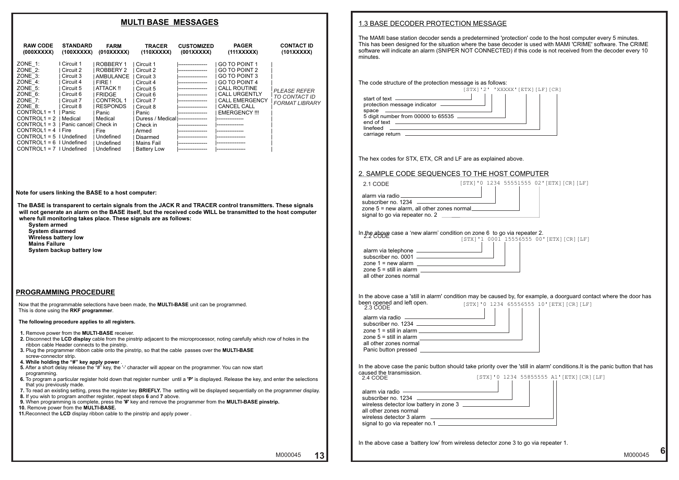#### 1.3 BASE DECODER PROTECTION MESSAGE

The MAMI base station decoder sends a predetermined 'protection' code to the host computer every 5 minutes. This has been designed for the situation where the base decoder is used with MAMI 'CRIME' software. The CRIME software will indicate an alarm (SNIPER NOT CONNECTED) if this code is not received from the decoder every 10 minutes.

| The hex codes for STX, ETX, CR and LF are as explained above. |  |
|---------------------------------------------------------------|--|
|---------------------------------------------------------------|--|

#### 2. SAMPLE CODE SEQUENCES TO THE HOST COMPUTER

| The code structure of the protection message is as follows:                                                            |                   |  |
|------------------------------------------------------------------------------------------------------------------------|-------------------|--|
|                                                                                                                        | $[STX]$ '2' 'XXXX |  |
| start of text $\qquad$<br>protection message indicator -<br>space<br>5 digit number from 00000 to 65535<br>end of text |                   |  |
| linefeed<br>carriage return _____                                                                                      |                   |  |
|                                                                                                                        |                   |  |

In the above case a 'battery low' from wireless detector zone 3 to go via repeater 1.



| 2. SAMPLE CODE SEQUENCES TO THE HOST COMPUTER                                                                                                                                                                                                             |
|-----------------------------------------------------------------------------------------------------------------------------------------------------------------------------------------------------------------------------------------------------------|
| [STX]'0 1234 55551555 02' [ETX] [CR] [LF]<br>2.1 CODE                                                                                                                                                                                                     |
| alarm via radio entre all'altresse del proportane del control del proportane del control del control del contro<br>subscriber no. 1234 - All and the subscriber no. 1234<br>zone 5 = new alarm, all other zones normal<br>signal to go via repeater no. 2 |
| In the above case a 'new alarm' condition on zone 6 to go via repeater 2.<br>2.2 CODE<br>[STX]'1 0001 15556555 00' [ETX] [CR] [LF]                                                                                                                        |
| all other zones normal                                                                                                                                                                                                                                    |
| In the above case a 'still in alarm' condition may be caused by, for example, a doorguard contact where the door has<br>been opened and left open.<br>2.3 CODE<br>[STX]'0 1234 65556555 10'[ETX][CR][LF]                                                  |
| alarm via radio - alle contracts and alarm via radio - alle contracts and allegence of the contracts and alle<br>subscriber no. 1234<br>zone 1 = etill in alarm                                                                                           |

| zone $1 =$ still in alarm<br>zone $5 =$ still in alarm                                                 |              |
|--------------------------------------------------------------------------------------------------------|--------------|
| all other zones normal<br>Panic button pressed                                                         |              |
| In the above case the panic button should take priority over t<br>caused the transmission.<br>2.4 CODE | [STX] '0 123 |
| alarm via radio<br>subscriber no. 1234<br>wireless detector low battery in zone 3                      |              |



the 'still in alarm' conditions.It is the panic button that has



all other zones normal

| wireless detector 3 alarm      |  |
|--------------------------------|--|
|                                |  |
| signal to go via repeater no.1 |  |
|                                |  |

#### **MULTI BASE MESSAGES**

**Note for users linking the BASE to a host computer:**

 **The BASE is transparent to certain signals from the JACK R and TRACER control transmitters. These signals will not generate an alarm on the BASE itself, but the received code WILL be transmitted to the host computer where full monitoring takes place. These signals are as follows:** 

 **System armed System disarmed Wireless battery low Mains Failure System backup battery low**

#### **PROGRAMMING PROCEDURE**

 Now that the programmable selections have been made, the **MULTI-BASE** unit can be programmed. This is done using the **RKF programmer**.

#### **The following procedure applies to all registers.**

- **1.** Remove power from the **MULTI-BASE** receiver.
- **2.** Disconnect the **LCD display** cable from the pinstrip adjacent to the microprocessor, noting carefully which row of holes in the ribbon cable Header connects to the pinstrip.
- **3.** Plug the programmer ribbon cable onto the pinstrip, so that the cable passes over the **MULTI-BASE**  screw-connector strip.
- **4. While holding the "#" key apply power** .
- **5.** After a short delay release the "#" key, the '-' character will appear on the programmer. You can now start programming.
- **6.** To program a particular register hold down that register number until a **'P'** is displayed. Release the key, and enter the selections that you previously made.
- **7.** To read an existing setting, press the register key **BRIEFLY.** The setting will be displayed sequentially on the programmer display.
- **8.** If you wish to program another register, repeat steps **6** and **7** above.
- **9.** When programming is complete, press the **'#'** key and remove the programmer from the **MULTI-BASE pinstrip.**
- **10.** Remove power from the **MULTI-BASE.**
- **11.**Reconnect the **LCD** display ribbon cable to the pinstrip and apply power .

| <b>RAW CODE</b><br><b>STANDARD</b><br>(000XXXXXX)<br>(100XXXXXX)                                                                                                                                                                                                                                                                                                                                                              | <b>FARM</b><br>(010XXXXX)                                                                                                                                                                  | <b>TRACER</b><br>(110XXXXX)                                                                                                                                                                            | <b>CUSTOMIZED</b><br>(001XXXXX) | <b>PAGER</b><br>(111XXXXX)                                                                                                                                                             | <b>CONTACT ID</b><br>(101XXXXX)                               |
|-------------------------------------------------------------------------------------------------------------------------------------------------------------------------------------------------------------------------------------------------------------------------------------------------------------------------------------------------------------------------------------------------------------------------------|--------------------------------------------------------------------------------------------------------------------------------------------------------------------------------------------|--------------------------------------------------------------------------------------------------------------------------------------------------------------------------------------------------------|---------------------------------|----------------------------------------------------------------------------------------------------------------------------------------------------------------------------------------|---------------------------------------------------------------|
| $ZONE$ 1:<br>I Circuit 1<br>$ZONE$ 2:<br>Circuit 2<br>$ZONE$ 3:<br>Circuit 3<br>ZONE $4$ :<br>Circuit 4<br>$ZONE$ 5:<br>Circuit 5<br>$ZONE$ 6:<br>Circuit 6<br>ZONE $7:$<br>Circuit 7<br>ZONE 8:<br>Circuit 8<br>$CONTROL1 = 1$<br>Panic<br>$CONTROL1 = 2$<br>Medical<br>$CONTROL1 = 3$<br>Panic cancel<br>$CONTROL1 = 4$   Fire<br>$CONTROL1 = 5$ I Undefined<br>$CONTROL1 = 6$<br>I Undefined<br>$CONTROL1 = 7$   Undefined | ROBBERY 1<br>ROBBERY 2<br>AMBULANCE<br>FIRE !<br>ATTACK !!<br><b>FRIDGE</b><br>CONTROL 1<br><b>RESPONDS</b><br>Panic<br>Medical<br>Check in<br>Fire<br>Undefined<br>Undefined<br>Undefined | Circuit 1<br>Circuit 2<br>Circuit 3<br>Circuit 4<br>Circuit 5<br>Circuit 6<br>Circuit 7<br>Circuit 8<br>Panic<br>Duress / Medical<br>Check in<br>Armed<br>Disarmed<br>Mains Fail<br><b>Battery Low</b> |                                 | GO TO POINT 1<br>GO TO POINT 2<br>GO TO POINT 3<br>GO TO POINT 4<br><b>CALL ROUTINE</b><br><b>CALL URGENTLY</b><br><b>CALL EMERGENCY</b><br><b>CANCEL CALL</b><br><b>EMERGENCY !!!</b> | <b>PLEASE REFER</b><br>TO CONTACT ID<br><b>FORMAT LIBRARY</b> |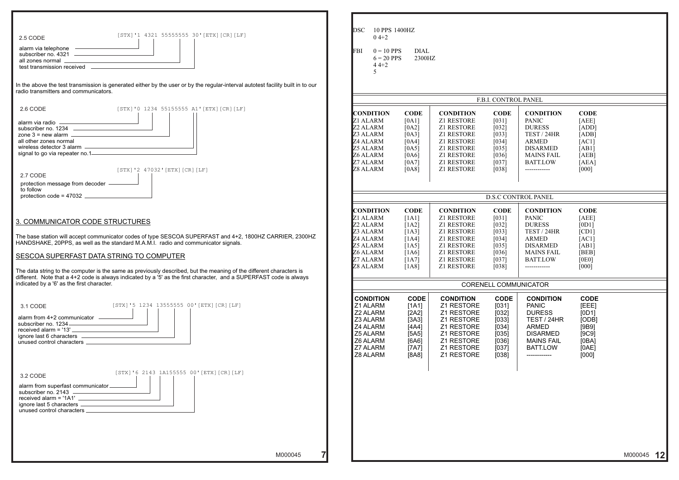| <b>CONDITION</b>  | <b>CODE</b> |
|-------------------|-------------|
| <b>PANIC</b>      | [AEE]       |
| <b>DURESS</b>     | [ADD]       |
| TEST / 24HR       | [ADB]       |
| ARMED             | [AC1]       |
| <b>DISARMED</b>   | [AB1]       |
| <b>MAINS FAIL</b> | [AEB]       |
| <b>BATT.LOW</b>   | [AEA]       |
|                   | [000]       |

| [STX]'1 4321 55555555 30' [ETX] [CR] [LF]<br>2.5 CODE                                                                                                                                                                                      | <b>DSC</b><br>10 PPS 1400HZ<br>$04+2$ |                      |                                |                        |                                     |                      |         |
|--------------------------------------------------------------------------------------------------------------------------------------------------------------------------------------------------------------------------------------------|---------------------------------------|----------------------|--------------------------------|------------------------|-------------------------------------|----------------------|---------|
| alarm via telephone<br>subscriber no. 4321                                                                                                                                                                                                 | $0 = 10$ PPS<br>FBI                   | <b>DIAL</b>          |                                |                        |                                     |                      |         |
| all zones normal                                                                                                                                                                                                                           | $6 = 20$ PPS                          | 2300HZ               |                                |                        |                                     |                      |         |
|                                                                                                                                                                                                                                            | $44+2$                                |                      |                                |                        |                                     |                      |         |
|                                                                                                                                                                                                                                            |                                       |                      |                                |                        |                                     |                      |         |
| In the above the test transmission is generated either by the user or by the regular-interval autotest facility built in to our<br>radio transmitters and communicators.                                                                   |                                       |                      |                                |                        |                                     |                      |         |
|                                                                                                                                                                                                                                            |                                       |                      |                                | F.B.I. CONTROL PANEL   |                                     |                      |         |
| 2.6 CODE<br>[STX]'0 1234 55155555 A1'[ETX][CR][LF]                                                                                                                                                                                         | <b>CONDITION</b>                      | <b>CODE</b>          | <b>CONDITION</b>               | <b>CODE</b>            | <b>CONDITION</b>                    | <b>CODE</b>          |         |
|                                                                                                                                                                                                                                            | Z1 ALARM                              | [0A1]                | Z1 RESTORE                     | $[031]$                | PANIC                               | [AEE]                |         |
|                                                                                                                                                                                                                                            | Z <sub>2</sub> ALARM                  | [0A2]                | <b>Z1 RESTORE</b>              | $[032]$                | <b>DURESS</b>                       | [ADD]                |         |
| zone $3 =$ new alarm $\frac{1}{2}$                                                                                                                                                                                                         | Z3 ALARM                              | [0A3]                | Z1 RESTORE                     | $[033]$                | TEST / 24HR                         | [ADB]                |         |
| all other zones normal<br>all other zones normal<br>wireless detector 3 alarm                                                                                                                                                              | Z4 ALARM                              | [0A4]                | <b>Z1 RESTORE</b>              | $[034]$                | ARMED                               | [AC1]                |         |
|                                                                                                                                                                                                                                            | <b>Z5 ALARM</b>                       | [0A5]                | Z1 RESTORE                     | $[035]$                | <b>DISARMED</b>                     | [AB1]                |         |
| signal to go via repeater no.1-                                                                                                                                                                                                            | Z6 ALARM                              | [0A6]                | Z1 RESTORE                     | $[036]$                | <b>MAINS FAIL</b>                   | [AEB]                |         |
|                                                                                                                                                                                                                                            | Z7 ALARM                              | [0A7]                | Z1 RESTORE                     | $[037]$                | <b>BATT.LOW</b>                     | [AEA]                |         |
| [STX]'2 47032'[ETX][CR][LF]                                                                                                                                                                                                                | Z8 ALARM                              | [0A8]                | Z1 RESTORE                     | [038]                  | ------------                        | [000]                |         |
| 2.7 CODE                                                                                                                                                                                                                                   |                                       |                      |                                |                        |                                     |                      |         |
| protection message from decoder -                                                                                                                                                                                                          |                                       |                      |                                |                        |                                     |                      |         |
| to follow<br>protection code = $47032$                                                                                                                                                                                                     |                                       |                      |                                |                        |                                     |                      |         |
|                                                                                                                                                                                                                                            |                                       |                      |                                |                        | <b>D.S.C CONTROL PANEL</b>          |                      |         |
|                                                                                                                                                                                                                                            | <b>CONDITION</b><br>Z1 ALARM          | <b>CODE</b><br>[1A1] | <b>CONDITION</b><br>Z1 RESTORE | <b>CODE</b><br>$[031]$ | <b>CONDITION</b><br><b>PANIC</b>    | <b>CODE</b><br>[AEE] |         |
| 3. COMMUNICATOR CODE STRUCTURES                                                                                                                                                                                                            | Z <sub>2</sub> ALARM                  | [1A2]                | Z1 RESTORE                     | $[032]$                | <b>DURESS</b>                       | [0D1]                |         |
|                                                                                                                                                                                                                                            | Z3 ALARM                              | [1A3]                | Z1 RESTORE                     | $[033]$                | TEST / 24HR                         | [CD1]                |         |
| The base station will accept communicator codes of type SESCOA SUPERFAST and 4+2, 1800HZ CARRIER, 2300HZ                                                                                                                                   | Z4 ALARM                              | [1A4]                | <b>Z1 RESTORE</b>              | $[034]$                | <b>ARMED</b>                        | [AC1]                |         |
| HANDSHAKE, 20PPS, as well as the standard M.A.M.I. radio and communicator signals.                                                                                                                                                         | Z5 ALARM                              | [1A5]                | Z1 RESTORE                     | $[035]$                | <b>DISARMED</b>                     | [AB1]                |         |
|                                                                                                                                                                                                                                            | Z6 ALARM                              | [1A6]                | Z1 RESTORE                     | [036]                  | <b>MAINS FAIL</b>                   | [BEB]                |         |
| SESCOA SUPERFAST DATA STRING TO COMPUTER                                                                                                                                                                                                   | Z7 ALARM                              | [1A7]                | <b>Z1 RESTORE</b>              | $[037]$                | <b>BATT.LOW</b>                     | [0E0]                |         |
|                                                                                                                                                                                                                                            | <b>Z8 ALARM</b>                       | [1A8]                | <b>Z1 RESTORE</b>              | [038]                  | -------------                       | [000]                |         |
| The data string to the computer is the same as previously described, but the meaning of the different characters is<br>different. Note that a 4+2 code is always indicated by a '5' as the first character, and a SUPERFAST code is always |                                       |                      |                                |                        |                                     |                      |         |
| indicated by a '6' as the first character.                                                                                                                                                                                                 |                                       |                      |                                |                        | <b>CORENELL COMMUNICATOR</b>        |                      |         |
| [STX]'5 1234 13555555 00' [ETX] [CR] [LF]                                                                                                                                                                                                  | <b>CONDITION</b>                      | <b>CODE</b>          | <b>CONDITION</b>               | <b>CODE</b>            | <b>CONDITION</b>                    | <b>CODE</b>          |         |
| 3.1 CODE                                                                                                                                                                                                                                   | Z1 ALARM                              | [1A1]                | Z1 RESTORE                     | $[031]$                | <b>PANIC</b>                        | [EEE]                |         |
| alarm from 4+2 communicator __________                                                                                                                                                                                                     | Z2 ALARM<br>Z3 ALARM                  | [2A2]                | Z1 RESTORE<br>Z1 RESTORE       | $[032]$                | <b>DURESS</b><br><b>TEST / 24HR</b> | [OD1]                |         |
| subscriber no. 1234                                                                                                                                                                                                                        | Z4 ALARM                              | [3A3]                | Z1 RESTORE                     | [033]                  | <b>ARMED</b>                        | [ODE]                |         |
| <u> 1989 - Johann Barbara, martxa alemani</u> ar a<br>received alarm = $'13'$ $-$                                                                                                                                                          | Z5 ALARM                              | [4A4]                | Z1 RESTORE                     | $[034]$<br>[035]       | <b>DISARMED</b>                     | [9B9]<br>[9C9]       |         |
|                                                                                                                                                                                                                                            | Z6 ALARM                              | [5A5]<br>[6A6]       | Z1 RESTORE                     | $[036]$                | <b>MAINS FAIL</b>                   | [OBA]                |         |
|                                                                                                                                                                                                                                            | Z7 ALARM                              | [7A7]                | Z1 RESTORE                     | $[037]$                | <b>BATT.LOW</b>                     | [0AE]                |         |
|                                                                                                                                                                                                                                            | Z8 ALARM                              | [8A8]                | Z1 RESTORE                     | $[038]$                | ------------                        | [000]                |         |
|                                                                                                                                                                                                                                            |                                       |                      |                                |                        |                                     |                      |         |
| [STX]'6 2143 1A155555 00' [ETX] [CR] [LF]<br>3.2 CODE                                                                                                                                                                                      |                                       |                      |                                |                        |                                     |                      |         |
|                                                                                                                                                                                                                                            |                                       |                      |                                |                        |                                     |                      |         |
| alarm from superfast communicator                                                                                                                                                                                                          |                                       |                      |                                |                        |                                     |                      |         |
| subscriber no. 2143 -                                                                                                                                                                                                                      |                                       |                      |                                |                        |                                     |                      |         |
| $received$ alarm = '1A1' $\frac{1}{1000}$                                                                                                                                                                                                  |                                       |                      |                                |                        |                                     |                      |         |
|                                                                                                                                                                                                                                            |                                       |                      |                                |                        |                                     |                      |         |
|                                                                                                                                                                                                                                            |                                       |                      |                                |                        |                                     |                      |         |
|                                                                                                                                                                                                                                            |                                       |                      |                                |                        |                                     |                      |         |
|                                                                                                                                                                                                                                            |                                       |                      |                                |                        |                                     |                      |         |
| M000045                                                                                                                                                                                                                                    |                                       |                      |                                |                        |                                     |                      | M000045 |
|                                                                                                                                                                                                                                            |                                       |                      |                                |                        |                                     |                      |         |

#### F.B.I. CONTROL PANEL

#### D.S.C CONTROL PANEL

| <b>CONDITION</b>  | <b>CODE</b> |  |
|-------------------|-------------|--|
| <b>PANIC</b>      | [AEE]       |  |
| <b>DURESS</b>     | [0D1]       |  |
| TEST / 24HR       | [CD1]       |  |
| ARMED             | [AC1]       |  |
| <b>DISARMED</b>   | [AB1]       |  |
| <b>MAINS FAIL</b> | [BEB]       |  |
| <b>BATT.LOW</b>   | [0E0]       |  |
|                   |             |  |

#### CORENELL COMMUNICATOR

| <b>CODE</b> | <b>CONDITION</b>  | <b>CODE</b> |
|-------------|-------------------|-------------|
| [031]       | <b>PANIC</b>      | [EEE]       |
| [032]       | <b>DURESS</b>     | [OD1]       |
| [033]       | TEST / 24HR       | [ODE]       |
| [034]       | <b>ARMED</b>      | [9B9]       |
| [035]       | <b>DISARMED</b>   | [9C9]       |
| [036]       | <b>MAINS FAIL</b> | [OBA]       |
| [037]       | <b>BATT.LOW</b>   | [0AE]       |
| [038]       |                   | [000]       |
|             |                   |             |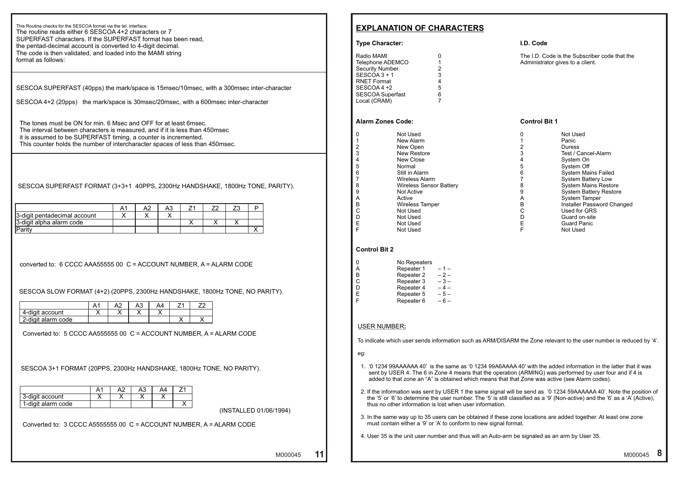### **EXPLANATION OF CHARACTERS**

#### **Type Character:**

| 1 |
|---|
| 2 |
| 3 |
| 4 |
| 5 |
| 6 |
|   |
|   |

#### **Alarm Zones Code:** Control Bit 1

| 0 | Not Used                       |   | Not Used                      |
|---|--------------------------------|---|-------------------------------|
|   | New Alarm                      |   | Panic                         |
| 2 | New Open                       |   | <b>Duress</b>                 |
| 3 | New Restore                    |   | Test / Cancel-Alarm           |
| 4 | New Close                      |   | System On                     |
| 5 | Normal                         |   | System Off                    |
| 6 | Still in Alarm                 | 6 | <b>System Mains Failed</b>    |
|   | Wireless Alarm                 |   | <b>System Battery Low</b>     |
| 8 | <b>Wireless Sensor Battery</b> |   | <b>System Mains Restore</b>   |
| 9 | <b>Not Active</b>              |   | <b>System Battery Restor</b>  |
| А | Active                         |   | <b>System Tamper</b>          |
| B | Wireless Tamper                | в | <b>Installer Password Cha</b> |
| С | Not Used                       |   | Used for GRS                  |
| D | Not Used                       |   | Guard on-site                 |
| E | Not Used                       |   | <b>Guard Panic</b>            |
| F | Not I lead                     |   | Not Head                      |

| 0 | Not Used                       |   | Not Used                      |
|---|--------------------------------|---|-------------------------------|
|   | New Alarm                      |   | Panic                         |
| 2 | New Open                       |   | <b>Duress</b>                 |
| 3 | <b>New Restore</b>             |   | Test / Cancel-Alarm           |
| 4 | New Close                      |   | System On                     |
| 5 | Normal                         |   | System Off                    |
| 6 | Still in Alarm                 | 6 | <b>System Mains Failed</b>    |
|   | Wireless Alarm                 |   | <b>System Battery Low</b>     |
| 8 | <b>Wireless Sensor Battery</b> | 8 | <b>System Mains Restore</b>   |
| 9 | <b>Not Active</b>              | 9 | <b>System Battery Restore</b> |
| А | Active                         | A | <b>System Tamper</b>          |
| B | <b>Wireless Tamper</b>         | B | Installer Password Changed    |
| С | Not Used                       |   | Used for GRS                  |
| D | Not Used                       |   | Guard on-site                 |
| E | Not Used                       |   | <b>Guard Panic</b>            |
| F | Not Used                       |   | Not Used                      |
|   |                                |   |                               |

#### **Control Bit 2**

| 0 | No Repeaters |       |
|---|--------------|-------|
| А | Repeater 1   | $-1-$ |
| в | Repeater 2   | $-2-$ |
| С | Repeater 3   | $-3-$ |
| D | Repeater 4   | $-4-$ |
| Е | Repeater 5   | $-5-$ |
| F | Repeater 6   | $-6-$ |

#### USER NUMBER**:**

To indicate which user sends information such as ARM/DISARM the Zone relevant to the user number is reduced by '4'.

Administrator gives to a client. The I.D. Code is the Subscriber code that the

eg:

- 1. '0 1234 99AAAAAA 40' is the same as '0 1234 99A6AAAA 40' with the added information in the latter that it was sent by USER 4. The 6 in Zone 4 means that the operation (ARMING) was performed by user four and if 4 is added to that zone an "A" is obtained which means that that Zone was active (see Alarm codes).
- 2. If the information was sent by USER 1 the same signal will be send as '0 1234 59AAAAAA 40'. Note the position of the '5' or '6' to determine the user number. The '5' is still classified as a '9' (Non-active) and the '6' as a 'A' (Active), thus no other information is lost when user information.
- 3. In the same way up to 35 users can be obtained if these zone locations are added together. At least one zone must contain either a '9' or 'A' to conform to new signal format.
- 4. User 35 is the unit user number and thus will an Auto-arm be signaled as an arm by User 35.

M000045 11 M000045

#### **I.D. Code**

**11**

This Routine checks for the SESCOA format via the tel. interface. The routine reads either 6 SESCOA 4+2 characters or 7 SUPERFAST characters. If the SUPERFAST format has been read, the pentad-decimal account is converted to 4-digit decimal. The code is then validated, and loaded into the MAMI string format as follows:

SESCOA SUPERFAST (40pps) the mark/space is 15msec/10msec, with a 300msec inter-character

SESCOA 4+2 (20pps) the mark/space is 30msec/20msec, with a 600msec inter-character

 The tones must be ON for min. 6 Msec and OFF for at least 6msec. The interval between characters is measured, and if it is less than 450msec it is assumed to be SUPERFAST timing, a counter is incremented. This counter holds the number of intercharacter spaces of less than 450msec.

SESCOA SUPERFAST FORMAT (3+3+1 40PPS, 2300Hz HANDSHAKE, 1800Hz TONE, PARITY).

|                              |  | Αū |  |  |
|------------------------------|--|----|--|--|
| 3-digit pentadecimal account |  |    |  |  |
| 3-digit alpha alarm code     |  |    |  |  |
| 'Parity                      |  |    |  |  |

converted to: 6 CCCC AAA55555 00 C = ACCOUNT NUMBER, A = ALARM CODE

SESCOA SLOW FORMAT (4+2) (20PPS, 2300Hz HANDSHAKE, 1800Hz TONE, NO PARITY).

|                    |  | ⌒◡ |  |  |
|--------------------|--|----|--|--|
| 4-digit account    |  |    |  |  |
| 2-digit alarm code |  |    |  |  |

Converted to: 5 CCCC AA555555 00 C = ACCOUNT NUMBER, A = ALARM CODE

SESCOA 3+1 FORMAT (20PPS, 2300Hz HANDSHAKE, 1800Hz TONE, NO PARITY).

| 3-digit account    |  |  |  |
|--------------------|--|--|--|
| 1-digit alarm code |  |  |  |

(INSTALLED 01/06/1994)

Converted to: 3 CCCC A5555555 00 C = ACCOUNT NUMBER, A = ALARM CODE